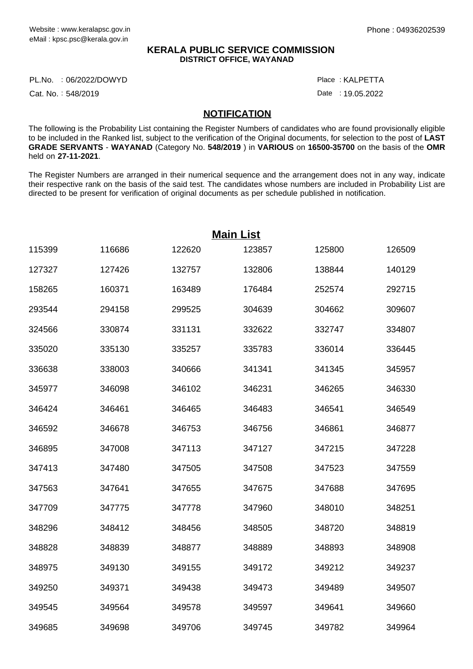## **KERALA PUBLIC SERVICE COMMISSION DISTRICT OFFICE, WAYANAD**

PL.No. :06/2022/DOWYD Particle in the control of the control of the control of the control of the control of the control of the control of the control of the control of the control of the control of the control of the cont

Cat. No.: 548/2019

Date : 19.05.2022 : KALPETTA

## **NOTIFICATION**

The following is the Probability List containing the Register Numbers of candidates who are found provisionally eligible to be included in the Ranked list, subject to the verification of the Original documents, for selection to the post of **LAST GRADE SERVANTS** - **WAYANAD** (Category No. **548/2019** ) in **VARIOUS** on **16500-35700** on the basis of the **OMR** held on **27-11-2021**.

The Register Numbers are arranged in their numerical sequence and the arrangement does not in any way, indicate their respective rank on the basis of the said test. The candidates whose numbers are included in Probability List are directed to be present for verification of original documents as per schedule published in notification.

| <b>Main List</b> |        |        |        |        |        |  |
|------------------|--------|--------|--------|--------|--------|--|
| 115399           | 116686 | 122620 | 123857 | 125800 | 126509 |  |
| 127327           | 127426 | 132757 | 132806 | 138844 | 140129 |  |
| 158265           | 160371 | 163489 | 176484 | 252574 | 292715 |  |
| 293544           | 294158 | 299525 | 304639 | 304662 | 309607 |  |
| 324566           | 330874 | 331131 | 332622 | 332747 | 334807 |  |
| 335020           | 335130 | 335257 | 335783 | 336014 | 336445 |  |
| 336638           | 338003 | 340666 | 341341 | 341345 | 345957 |  |
| 345977           | 346098 | 346102 | 346231 | 346265 | 346330 |  |
| 346424           | 346461 | 346465 | 346483 | 346541 | 346549 |  |
| 346592           | 346678 | 346753 | 346756 | 346861 | 346877 |  |
| 346895           | 347008 | 347113 | 347127 | 347215 | 347228 |  |
| 347413           | 347480 | 347505 | 347508 | 347523 | 347559 |  |
| 347563           | 347641 | 347655 | 347675 | 347688 | 347695 |  |
| 347709           | 347775 | 347778 | 347960 | 348010 | 348251 |  |
| 348296           | 348412 | 348456 | 348505 | 348720 | 348819 |  |
| 348828           | 348839 | 348877 | 348889 | 348893 | 348908 |  |
| 348975           | 349130 | 349155 | 349172 | 349212 | 349237 |  |
| 349250           | 349371 | 349438 | 349473 | 349489 | 349507 |  |
| 349545           | 349564 | 349578 | 349597 | 349641 | 349660 |  |
| 349685           | 349698 | 349706 | 349745 | 349782 | 349964 |  |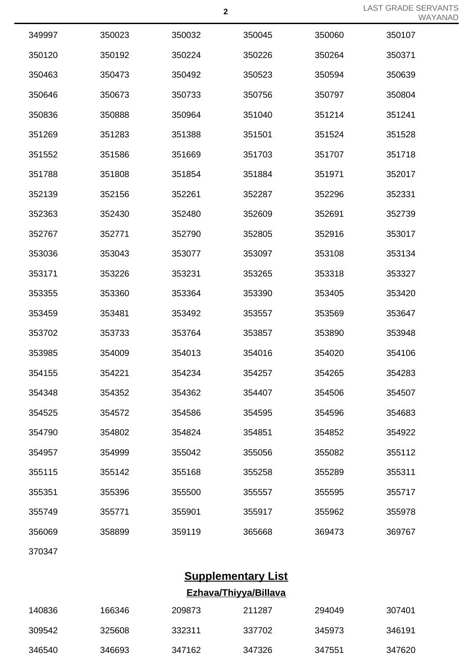LAST GRADE SERVANTS WAYANAD

| 349997 | 350023 | 350032 | 350045 | 350060 | 350107 |
|--------|--------|--------|--------|--------|--------|
| 350120 | 350192 | 350224 | 350226 | 350264 | 350371 |
| 350463 | 350473 | 350492 | 350523 | 350594 | 350639 |
| 350646 | 350673 | 350733 | 350756 | 350797 | 350804 |
| 350836 | 350888 | 350964 | 351040 | 351214 | 351241 |
| 351269 | 351283 | 351388 | 351501 | 351524 | 351528 |
| 351552 | 351586 | 351669 | 351703 | 351707 | 351718 |
| 351788 | 351808 | 351854 | 351884 | 351971 | 352017 |
| 352139 | 352156 | 352261 | 352287 | 352296 | 352331 |
| 352363 | 352430 | 352480 | 352609 | 352691 | 352739 |
| 352767 | 352771 | 352790 | 352805 | 352916 | 353017 |
| 353036 | 353043 | 353077 | 353097 | 353108 | 353134 |
| 353171 | 353226 | 353231 | 353265 | 353318 | 353327 |
| 353355 | 353360 | 353364 | 353390 | 353405 | 353420 |
| 353459 | 353481 | 353492 | 353557 | 353569 | 353647 |
| 353702 | 353733 | 353764 | 353857 | 353890 | 353948 |
| 353985 | 354009 | 354013 | 354016 | 354020 | 354106 |
| 354155 | 354221 | 354234 | 354257 | 354265 | 354283 |
| 354348 | 354352 | 354362 | 354407 | 354506 | 354507 |
| 354525 | 354572 | 354586 | 354595 | 354596 | 354683 |
| 354790 | 354802 | 354824 | 354851 | 354852 | 354922 |
| 354957 | 354999 | 355042 | 355056 | 355082 | 355112 |
| 355115 | 355142 | 355168 | 355258 | 355289 | 355311 |
| 355351 | 355396 | 355500 | 355557 | 355595 | 355717 |
| 355749 | 355771 | 355901 | 355917 | 355962 | 355978 |
| 356069 | 358899 | 359119 | 365668 | 369473 | 369767 |
|        |        |        |        |        |        |

## **Supplementary List Ezhava/Thiyya/Billava**

| 140836 | 166346 | 209873 | 211287 | 294049 | 307401 |
|--------|--------|--------|--------|--------|--------|
| 309542 | 325608 | 332311 | 337702 | 345973 | 346191 |
| 346540 | 346693 | 347162 | 347326 | 347551 | 347620 |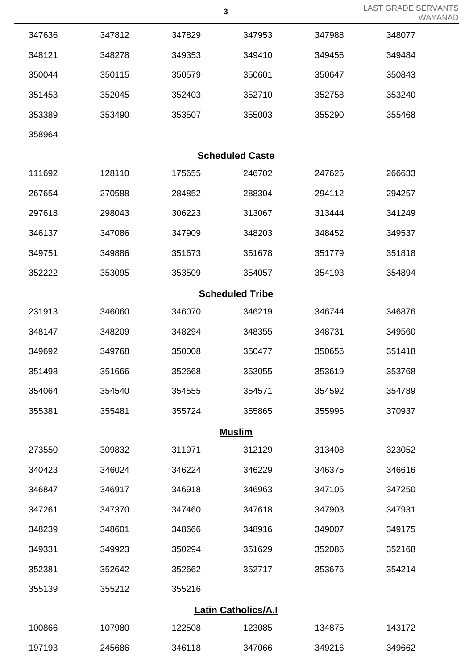|                            |        |        | J.                     |        | WAYANAD |  |  |
|----------------------------|--------|--------|------------------------|--------|---------|--|--|
| 347636                     | 347812 | 347829 | 347953                 | 347988 | 348077  |  |  |
| 348121                     | 348278 | 349353 | 349410                 | 349456 | 349484  |  |  |
| 350044                     | 350115 | 350579 | 350601                 | 350647 | 350843  |  |  |
| 351453                     | 352045 | 352403 | 352710                 | 352758 | 353240  |  |  |
| 353389                     | 353490 | 353507 | 355003                 | 355290 | 355468  |  |  |
| 358964                     |        |        |                        |        |         |  |  |
|                            |        |        | <b>Scheduled Caste</b> |        |         |  |  |
| 111692                     | 128110 | 175655 | 246702                 | 247625 | 266633  |  |  |
| 267654                     | 270588 | 284852 | 288304                 | 294112 | 294257  |  |  |
| 297618                     | 298043 | 306223 | 313067                 | 313444 | 341249  |  |  |
| 346137                     | 347086 | 347909 | 348203                 | 348452 | 349537  |  |  |
| 349751                     | 349886 | 351673 | 351678                 | 351779 | 351818  |  |  |
| 352222                     | 353095 | 353509 | 354057                 | 354193 | 354894  |  |  |
|                            |        |        | <b>Scheduled Tribe</b> |        |         |  |  |
| 231913                     | 346060 | 346070 | 346219                 | 346744 | 346876  |  |  |
| 348147                     | 348209 | 348294 | 348355                 | 348731 | 349560  |  |  |
| 349692                     | 349768 | 350008 | 350477                 | 350656 | 351418  |  |  |
| 351498                     | 351666 | 352668 | 353055                 | 353619 | 353768  |  |  |
| 354064                     | 354540 | 354555 | 354571                 | 354592 | 354789  |  |  |
| 355381                     | 355481 | 355724 | 355865                 | 355995 | 370937  |  |  |
| <b>Muslim</b>              |        |        |                        |        |         |  |  |
| 273550                     | 309832 | 311971 | 312129                 | 313408 | 323052  |  |  |
| 340423                     | 346024 | 346224 | 346229                 | 346375 | 346616  |  |  |
| 346847                     | 346917 | 346918 | 346963                 | 347105 | 347250  |  |  |
| 347261                     | 347370 | 347460 | 347618                 | 347903 | 347931  |  |  |
| 348239                     | 348601 | 348666 | 348916                 | 349007 | 349175  |  |  |
| 349331                     | 349923 | 350294 | 351629                 | 352086 | 352168  |  |  |
| 352381                     | 352642 | 352662 | 352717                 | 353676 | 354214  |  |  |
| 355139                     | 355212 | 355216 |                        |        |         |  |  |
| <b>Latin Catholics/A.I</b> |        |        |                        |        |         |  |  |

LAST GRADE SERVANTS

| 100866 | 107980 | 122508 | 123085 | 134875 | 143172 |
|--------|--------|--------|--------|--------|--------|
| 197193 | 245686 | 346118 | 347066 | 349216 | 349662 |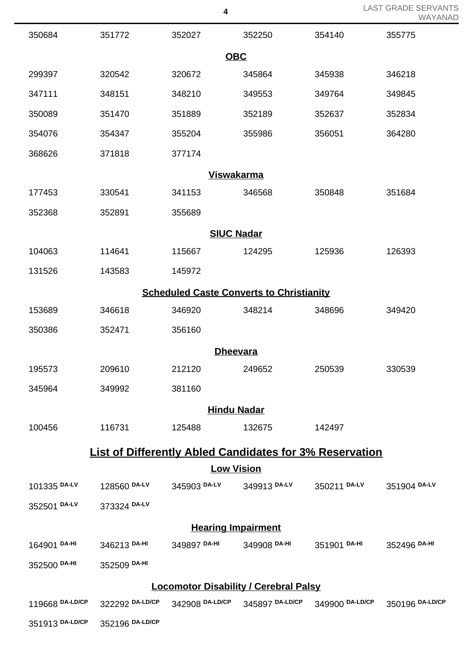|                                                                |                 | 4            |                                                                 |              | LAST GRADE SERVANTS<br>WAYANAD |  |  |
|----------------------------------------------------------------|-----------------|--------------|-----------------------------------------------------------------|--------------|--------------------------------|--|--|
| 350684                                                         | 351772          | 352027       | 352250                                                          | 354140       | 355775                         |  |  |
| <b>OBC</b>                                                     |                 |              |                                                                 |              |                                |  |  |
| 299397                                                         | 320542          | 320672       | 345864                                                          | 345938       | 346218                         |  |  |
| 347111                                                         | 348151          | 348210       | 349553                                                          | 349764       | 349845                         |  |  |
| 350089                                                         | 351470          | 351889       | 352189                                                          | 352637       | 352834                         |  |  |
| 354076                                                         | 354347          | 355204       | 355986                                                          | 356051       | 364280                         |  |  |
| 368626                                                         | 371818          | 377174       |                                                                 |              |                                |  |  |
|                                                                |                 |              | <b>Viswakarma</b>                                               |              |                                |  |  |
| 177453                                                         | 330541          | 341153       | 346568                                                          | 350848       | 351684                         |  |  |
| 352368                                                         | 352891          | 355689       |                                                                 |              |                                |  |  |
|                                                                |                 |              | <b>SIUC Nadar</b>                                               |              |                                |  |  |
| 104063                                                         | 114641          | 115667       | 124295                                                          | 125936       | 126393                         |  |  |
| 131526                                                         | 143583          | 145972       |                                                                 |              |                                |  |  |
| <b>Scheduled Caste Converts to Christianity</b>                |                 |              |                                                                 |              |                                |  |  |
| 153689                                                         | 346618          | 346920       | 348214                                                          | 348696       | 349420                         |  |  |
| 350386                                                         | 352471          | 356160       |                                                                 |              |                                |  |  |
|                                                                |                 |              | <b>Dheevara</b>                                                 |              |                                |  |  |
| 195573                                                         | 209610          | 212120       | 249652                                                          | 250539       | 330539                         |  |  |
| 345964                                                         | 349992          | 381160       |                                                                 |              |                                |  |  |
|                                                                |                 |              | <b>Hindu Nadar</b>                                              |              |                                |  |  |
| 100456                                                         | 116731          | 125488       | 132675                                                          | 142497       |                                |  |  |
| <b>List of Differently Abled Candidates for 3% Reservation</b> |                 |              |                                                                 |              |                                |  |  |
|                                                                |                 |              | <b>Low Vision</b>                                               |              |                                |  |  |
| 101335 DA-LV                                                   | 128560 DA-LV    | 345903 DA-LV | 349913 DA-LV                                                    | 350211 DA-LV | 351904 DA-LV                   |  |  |
| 352501 DA-LV                                                   | 373324 DA-LV    |              |                                                                 |              |                                |  |  |
|                                                                |                 |              | <b>Hearing Impairment</b>                                       |              |                                |  |  |
| 164901 DA-HI                                                   | 346213 DA-HI    | 349897 DA-HI | 349908 DA-HI                                                    | 351901 DA-HI | 352496 DA-HI                   |  |  |
| 352500 DA-HI                                                   | 352509 DA-HI    |              |                                                                 |              |                                |  |  |
| <b>Locomotor Disability / Cerebral Palsy</b>                   |                 |              |                                                                 |              |                                |  |  |
| 119668 DA-LD/CP                                                |                 |              | 322292 DA-LD/CP 342908 DA-LD/CP 345897 DA-LD/CP 349900 DA-LD/CP |              | 350196 DA-LD/CP                |  |  |
| 351913 DA-LD/CP                                                | 352196 DA-LD/CP |              |                                                                 |              |                                |  |  |

LAST GRADE SERVANTS